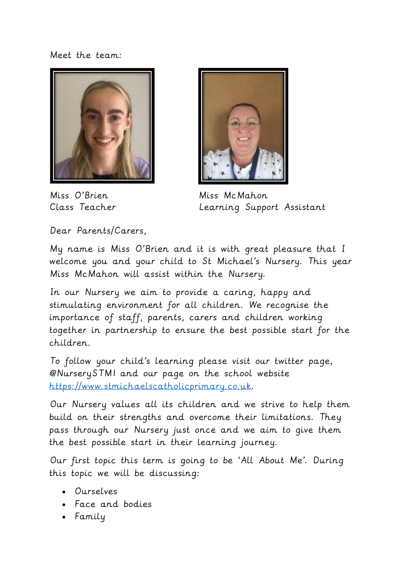Meet the team:





Miss O'Brien Miss McMahon Class Teacher Learning Support Assistant

Dear Parents/Carers,

My name is Miss O'Brien and it is with great pleasure that I welcome you and your child to St Michael's Nursery. This year Miss McMahon will assist within the Nursery.

In our Nursery we aim to provide a caring, happy and stimulating environment for all children. We recognise the importance of staff, parents, carers and children working together in partnership to ensure the best possible start for the children.

To follow your child's learning please visit our twitter page, @NurserySTM1 and our page on the school website [https://www.stmichaelscatholicprimary.co.uk.](https://www.stmichaelscatholicprimary.co.uk/)

Our Nursery values all its children and we strive to help them build on their strengths and overcome their limitations. They pass through our Nursery just once and we aim to give them the best possible start in their learning journey.

Our first topic this term is going to be 'All About Me'. During this topic we will be discussing:

- Ourselves
- Face and bodies
- Family